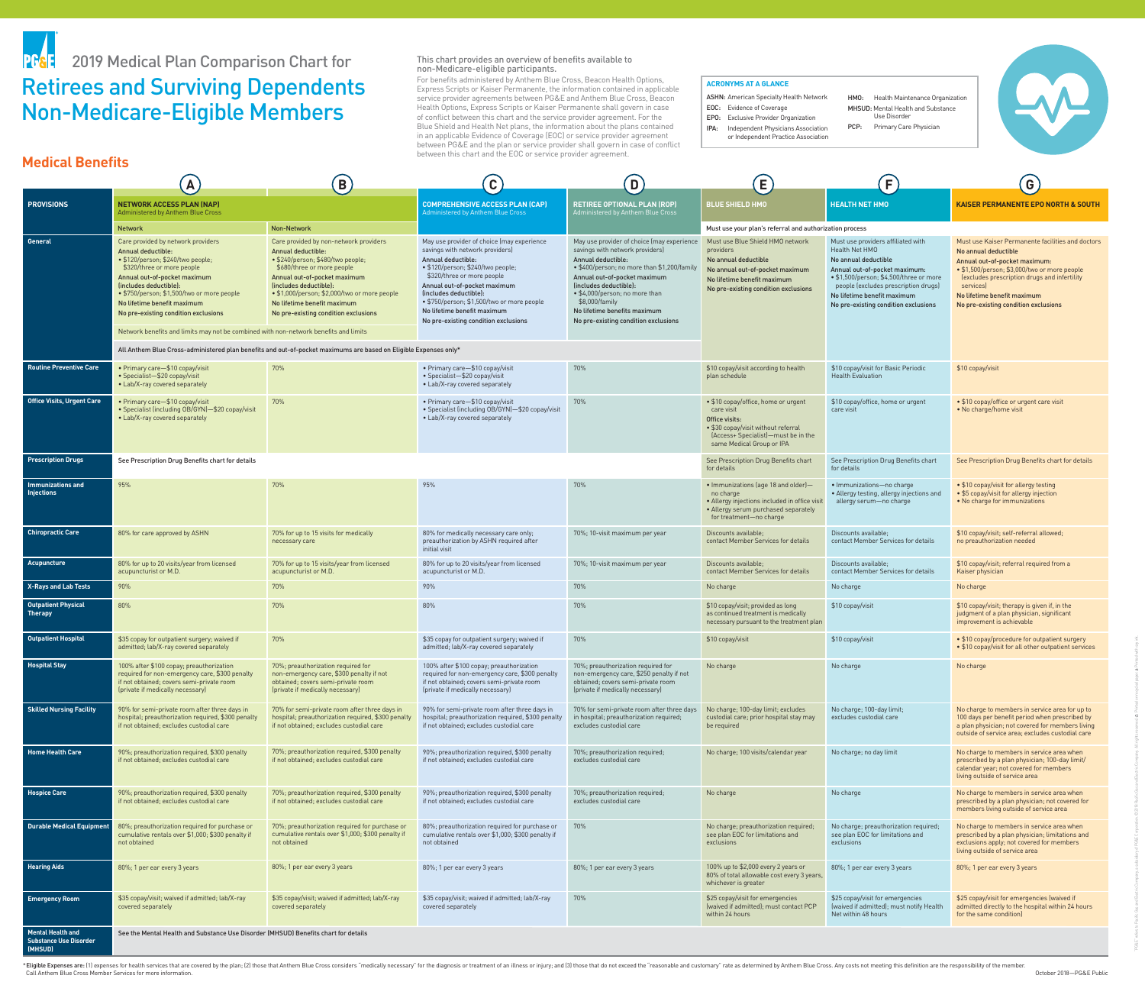This chart provides an overview of benefits available to non-Medicare-eligible participants. For benefits administered by Anthem Blue Cross, Beacon Health Options, Express Scripts or Kaiser Permanente, the information contained in applicable service provider agreements between PG&E and Anthem Blue Cross, Beacon Health Options, Express Scripts or Kaiser Permanente shall govern in case of conflict between this chart and the service provider agreement. For the Blue Shield and Health Net plans, the information about the plans contained in an applicable Evidence of Coverage (EOC) or service provider agreement between PG&E and the plan or service provider shall govern in case of conflict between this chart and the EOC or service provider agreement.

\*Eligible Expenses are: (1) expenses for health services that are covered by the plan; (2) those that Anthem Blue Cross considers "medically necessary" for the diagnosis or treatment of an illness or injury; and (3) those Call Anthem Blue Cross Member Services for more information.

|                                                                      | $\mathbf{A}_{j}$                                                                                                                                                                                                                                                                                                                                                                                          | B)                                                                                                                                                                                                                                                                                                                                                                                                                                          | $\mathbf{C}$                                                                                                                                                                                                                                                                                                                                          | $\boxed{\mathbf{D}}$                                                                                                                                                                                                                                                                                                                     | E)                                                                                                                                                                              | F                                                                                                                                                                                                                                                                       | $\vert G \vert$                                                                                                                                                                                                                                                                                |
|----------------------------------------------------------------------|-----------------------------------------------------------------------------------------------------------------------------------------------------------------------------------------------------------------------------------------------------------------------------------------------------------------------------------------------------------------------------------------------------------|---------------------------------------------------------------------------------------------------------------------------------------------------------------------------------------------------------------------------------------------------------------------------------------------------------------------------------------------------------------------------------------------------------------------------------------------|-------------------------------------------------------------------------------------------------------------------------------------------------------------------------------------------------------------------------------------------------------------------------------------------------------------------------------------------------------|------------------------------------------------------------------------------------------------------------------------------------------------------------------------------------------------------------------------------------------------------------------------------------------------------------------------------------------|---------------------------------------------------------------------------------------------------------------------------------------------------------------------------------|-------------------------------------------------------------------------------------------------------------------------------------------------------------------------------------------------------------------------------------------------------------------------|------------------------------------------------------------------------------------------------------------------------------------------------------------------------------------------------------------------------------------------------------------------------------------------------|
| <b>PROVISIONS</b>                                                    | <b>NETWORK ACCESS PLAN (NAP)</b><br><b>Administered by Anthem Blue Cross</b>                                                                                                                                                                                                                                                                                                                              |                                                                                                                                                                                                                                                                                                                                                                                                                                             | <b>COMPREHENSIVE ACCESS PLAN (CAP)</b><br>Administered by Anthem Blue Cross                                                                                                                                                                                                                                                                           | <b>RETIREE OPTIONAL PLAN (ROP)</b><br>Administered by Anthem Blue Cross                                                                                                                                                                                                                                                                  | <b>BLUE SHIELD HMO</b>                                                                                                                                                          | <b>HEALTH NET HMO</b>                                                                                                                                                                                                                                                   | <b>KAISER PERMANENTE EPO NORTH &amp; SOUTH</b>                                                                                                                                                                                                                                                 |
|                                                                      | <b>Non-Network</b><br><b>Network</b>                                                                                                                                                                                                                                                                                                                                                                      |                                                                                                                                                                                                                                                                                                                                                                                                                                             |                                                                                                                                                                                                                                                                                                                                                       |                                                                                                                                                                                                                                                                                                                                          | Must use your plan's referral and authorization process                                                                                                                         |                                                                                                                                                                                                                                                                         |                                                                                                                                                                                                                                                                                                |
| <b>General</b>                                                       | Care provided by network providers<br><b>Annual deductible:</b><br>• \$120/person; \$240/two people;<br>\$320/three or more people<br>Annual out-of-pocket maximum<br>(includes deductible):<br>• \$750/person; \$1,500/two or more people<br>No lifetime benefit maximum<br>No pre-existing condition exclusions<br>Network benefits and limits may not be combined with non-network benefits and limits | Care provided by non-network providers<br><b>Annual deductible:</b><br>· \$240/person; \$480/two people;<br>\$680/three or more people<br>Annual out-of-pocket maximum<br>(includes deductible):<br>• \$1,000/person; \$2,000/two or more people<br>No lifetime benefit maximum<br>No pre-existing condition exclusions<br>All Anthem Blue Cross-administered plan benefits and out-of-pocket maximums are based on Eligible Expenses only* | May use provider of choice (may experience<br>savings with network providers)<br>Annual deductible:<br>• \$120/person; \$240/two people;<br>\$320/three or more people<br>Annual out-of-pocket maximum<br>(includes deductible):<br>• \$750/person; \$1,500/two or more people<br>No lifetime benefit maximum<br>No pre-existing condition exclusions | May use provider of choice (may experience<br>savings with network providers)<br>Annual deductible:<br>. \$400/person; no more than \$1,200/family<br>Annual out-of-pocket maximum<br>(includes deductible):<br>• \$4,000/person; no more than<br>\$8,000/family<br>No lifetime benefits maximum<br>No pre-existing condition exclusions | Must use Blue Shield HMO network<br>providers<br>No annual deductible<br>No annual out-of-pocket maximum<br>No lifetime benefit maximum<br>No pre-existing condition exclusions | Must use providers affiliated with<br>Health Net HMO<br>No annual deductible<br>Annual out-of-pocket maximum:<br>• \$1,500/person; \$4,500/three or more<br>people (excludes prescription drugs)<br>No lifetime benefit maximum<br>No pre-existing condition exclusions | Must use Kaiser Permanente facilities and doctors<br>No annual deductible<br>Annual out-of-pocket maximum:<br>• \$1,500/person; \$3,000/two or more people<br>lexcludes prescription drugs and infertility<br>services)<br>No lifetime benefit maximum<br>No pre-existing condition exclusions |
| <b>Routine Preventive Care</b>                                       | • Primary care-\$10 copay/visit                                                                                                                                                                                                                                                                                                                                                                           | 70%                                                                                                                                                                                                                                                                                                                                                                                                                                         | • Primary care-\$10 copay/visit                                                                                                                                                                                                                                                                                                                       | 70%                                                                                                                                                                                                                                                                                                                                      | \$10 copay/visit according to health                                                                                                                                            | \$10 copay/visit for Basic Periodic                                                                                                                                                                                                                                     | \$10 copay/visit                                                                                                                                                                                                                                                                               |
|                                                                      | • Specialist-\$20 copay/visit<br>• Lab/X-ray covered separately                                                                                                                                                                                                                                                                                                                                           |                                                                                                                                                                                                                                                                                                                                                                                                                                             | • Specialist-\$20 copay/visit<br>• Lab/X-ray covered separately                                                                                                                                                                                                                                                                                       |                                                                                                                                                                                                                                                                                                                                          | plan schedule                                                                                                                                                                   | <b>Health Evaluation</b>                                                                                                                                                                                                                                                |                                                                                                                                                                                                                                                                                                |
| <b>Office Visits, Urgent Care</b>                                    | • Primary care-\$10 copay/visit<br>• Specialist (including OB/GYN)-\$20 copay/visit<br>• Lab/X-ray covered separately                                                                                                                                                                                                                                                                                     | 70%                                                                                                                                                                                                                                                                                                                                                                                                                                         | • Primary care-\$10 copay/visit<br>• Specialist (including OB/GYN)-\$20 copay/visit<br>• Lab/X-ray covered separately                                                                                                                                                                                                                                 | 70%                                                                                                                                                                                                                                                                                                                                      | • \$10 copay/office, home or urgent<br>care visit<br>Office visits:<br>• \$30 copay/visit without referral<br>(Access+ Specialist)-must be in the<br>same Medical Group or IPA  | \$10 copay/office, home or urgent<br>care visit                                                                                                                                                                                                                         | • \$10 copay/office or urgent care visit<br>• No charge/home visit                                                                                                                                                                                                                             |
| <b>Prescription Drugs</b>                                            | See Prescription Drug Benefits chart for details                                                                                                                                                                                                                                                                                                                                                          |                                                                                                                                                                                                                                                                                                                                                                                                                                             |                                                                                                                                                                                                                                                                                                                                                       |                                                                                                                                                                                                                                                                                                                                          | See Prescription Drug Benefits chart<br>for details                                                                                                                             | See Prescription Drug Benefits chart<br>for details                                                                                                                                                                                                                     | See Prescription Drug Benefits chart for details                                                                                                                                                                                                                                               |
| <b>Immunizations and</b><br><b>Injections</b>                        | 95%                                                                                                                                                                                                                                                                                                                                                                                                       | 70%                                                                                                                                                                                                                                                                                                                                                                                                                                         | 95%                                                                                                                                                                                                                                                                                                                                                   | 70%                                                                                                                                                                                                                                                                                                                                      | • Immunizations (age 18 and older)-<br>no charge<br>• Allergy injections included in office visit<br>• Allergy serum purchased separately<br>for treatment-no charge            | • Immunizations-no charge<br>• Allergy testing, allergy injections and<br>allergy serum-no charge                                                                                                                                                                       | • \$10 copay/visit for allergy testing<br>• \$5 copay/visit for allergy injection<br>• No charge for immunizations                                                                                                                                                                             |
| <b>Chiropractic Care</b>                                             | 80% for care approved by ASHN                                                                                                                                                                                                                                                                                                                                                                             | 70% for up to 15 visits for medically<br>necessary care                                                                                                                                                                                                                                                                                                                                                                                     | 80% for medically necessary care only;<br>preauthorization by ASHN required after<br>initial visit                                                                                                                                                                                                                                                    | 70%; 10-visit maximum per year                                                                                                                                                                                                                                                                                                           | Discounts available;<br>contact Member Services for details                                                                                                                     | Discounts available:<br>contact Member Services for details                                                                                                                                                                                                             | \$10 copay/visit; self-referral allowed;<br>no preauthorization needed                                                                                                                                                                                                                         |
| <b>Acupuncture</b>                                                   | 80% for up to 20 visits/year from licensed<br>acupuncturist or M.D.                                                                                                                                                                                                                                                                                                                                       | 70% for up to 15 visits/year from licensed<br>acupuncturist or M.D.                                                                                                                                                                                                                                                                                                                                                                         | 80% for up to 20 visits/year from licensed<br>acupuncturist or M.D.                                                                                                                                                                                                                                                                                   | 70%; 10-visit maximum per year                                                                                                                                                                                                                                                                                                           | Discounts available;<br>contact Member Services for details                                                                                                                     | Discounts available:<br>contact Member Services for details                                                                                                                                                                                                             | \$10 copay/visit; referral required from a<br>Kaiser physician                                                                                                                                                                                                                                 |
| <b>X-Rays and Lab Tests</b>                                          | 90%                                                                                                                                                                                                                                                                                                                                                                                                       | 70%                                                                                                                                                                                                                                                                                                                                                                                                                                         | 90%                                                                                                                                                                                                                                                                                                                                                   | 70%                                                                                                                                                                                                                                                                                                                                      | No charge                                                                                                                                                                       | No charge                                                                                                                                                                                                                                                               | No charge                                                                                                                                                                                                                                                                                      |
| <b>Outpatient Physical</b><br><b>Therapy</b>                         | 80%                                                                                                                                                                                                                                                                                                                                                                                                       | 70%                                                                                                                                                                                                                                                                                                                                                                                                                                         | 80%                                                                                                                                                                                                                                                                                                                                                   | 70%                                                                                                                                                                                                                                                                                                                                      | \$10 copay/visit; provided as long<br>as continued treatment is medically<br>necessary pursuant to the treatment plan                                                           | \$10 copay/visit                                                                                                                                                                                                                                                        | \$10 copay/visit; therapy is given if, in the<br>judgment of a plan physician, significant<br>improvement is achievable                                                                                                                                                                        |
| <b>Outpatient Hospital</b>                                           | \$35 copay for outpatient surgery; waived if<br>admitted; lab/X-ray covered separately                                                                                                                                                                                                                                                                                                                    | 70%                                                                                                                                                                                                                                                                                                                                                                                                                                         | \$35 copay for outpatient surgery; waived if<br>admitted; lab/X-ray covered separately                                                                                                                                                                                                                                                                | 70%                                                                                                                                                                                                                                                                                                                                      | \$10 copay/visit                                                                                                                                                                | \$10 copay/visit                                                                                                                                                                                                                                                        | • \$10 copay/procedure for outpatient surgery<br>• \$10 copay/visit for all other outpatient services                                                                                                                                                                                          |
| <b>Hospital Stay</b>                                                 | 100% after \$100 copay; preauthorization<br>required for non-emergency care, \$300 penalty<br>if not obtained; covers semi-private room<br>(private if medically necessary)                                                                                                                                                                                                                               | 70%; preauthorization required for<br>non-emergency care, \$300 penalty if not<br>obtained; covers semi-private room<br>(private if medically necessary)                                                                                                                                                                                                                                                                                    | 100% after \$100 copay; preauthorization<br>required for non-emergency care, \$300 penalty<br>if not obtained; covers semi-private room<br>(private if medically necessary)                                                                                                                                                                           | 70%; preauthorization required for<br>non-emergency care, \$250 penalty if not<br>obtained; covers semi-private room<br>(private if medically necessary)                                                                                                                                                                                 | No charge                                                                                                                                                                       | No charge                                                                                                                                                                                                                                                               | No charge                                                                                                                                                                                                                                                                                      |
| <b>Skilled Nursing Facility</b>                                      | 90% for semi-private room after three days in<br>hospital; preauthorization required, \$300 penalty<br>if not obtained; excludes custodial care                                                                                                                                                                                                                                                           | 70% for semi-private room after three days in<br>hospital; preauthorization required, \$300 penalty<br>if not obtained; excludes custodial care                                                                                                                                                                                                                                                                                             | 90% for semi-private room after three days in<br>hospital; preauthorization required, \$300 penalty<br>if not obtained; excludes custodial care                                                                                                                                                                                                       | 70% for semi-private room after three days<br>in hospital; preauthorization required;<br>excludes custodial care                                                                                                                                                                                                                         | No charge; 100-day limit; excludes<br>custodial care; prior hospital stay may<br>be required                                                                                    | No charge; 100-day limit;<br>excludes custodial care                                                                                                                                                                                                                    | No charge to members in service area for up to<br>100 days per benefit period when prescribed by<br>a plan physician; not covered for members living<br>outside of service area; excludes custodial care                                                                                       |
| <b>Home Health Care</b>                                              | 90%; preauthorization required, \$300 penalty<br>if not obtained; excludes custodial care                                                                                                                                                                                                                                                                                                                 | 70%; preauthorization required, \$300 penalty<br>if not obtained; excludes custodial care                                                                                                                                                                                                                                                                                                                                                   | 90%; preauthorization required, \$300 penalty<br>if not obtained; excludes custodial care                                                                                                                                                                                                                                                             | 70%; preauthorization required;<br>excludes custodial care                                                                                                                                                                                                                                                                               | No charge; 100 visits/calendar year                                                                                                                                             | No charge; no day limit                                                                                                                                                                                                                                                 | No charge to members in service area when<br>prescribed by a plan physician; 100-day limit/<br>calendar year; not covered for members<br>living outside of service area                                                                                                                        |
| <b>Hospice Care</b>                                                  | 90%; preauthorization required, \$300 penalty<br>if not obtained; excludes custodial care                                                                                                                                                                                                                                                                                                                 | 70%; preauthorization required, \$300 penalty<br>if not obtained; excludes custodial care                                                                                                                                                                                                                                                                                                                                                   | 90%; preauthorization required, \$300 penalty<br>if not obtained; excludes custodial care                                                                                                                                                                                                                                                             | 70%; preauthorization required;<br>excludes custodial care                                                                                                                                                                                                                                                                               | No charge                                                                                                                                                                       | No charge                                                                                                                                                                                                                                                               | No charge to members in service area when<br>prescribed by a plan physician; not covered for<br>members living outside of service area                                                                                                                                                         |
| <b>Durable Medical Equipment</b>                                     | 80%; preauthorization required for purchase or<br>cumulative rentals over \$1,000; \$300 penalty if<br>not obtained                                                                                                                                                                                                                                                                                       | 70%; preauthorization required for purchase or<br>cumulative rentals over \$1,000; \$300 penalty if<br>not obtained                                                                                                                                                                                                                                                                                                                         | 80%; preauthorization required for purchase or<br>cumulative rentals over \$1,000; \$300 penalty if<br>not obtained                                                                                                                                                                                                                                   | 70%                                                                                                                                                                                                                                                                                                                                      | No charge; preauthorization required;<br>see plan EOC for limitations and<br>exclusions                                                                                         | No charge; preauthorization required;<br>see plan EOC for limitations and<br>exclusions                                                                                                                                                                                 | No charge to members in service area when<br>prescribed by a plan physician; limitations and<br>exclusions apply; not covered for members<br>living outside of service area                                                                                                                    |
| <b>Hearing Aids</b>                                                  | 80%; 1 per ear every 3 years                                                                                                                                                                                                                                                                                                                                                                              | 80%; 1 per ear every 3 years                                                                                                                                                                                                                                                                                                                                                                                                                | 80%; 1 per ear every 3 years                                                                                                                                                                                                                                                                                                                          | 80%; 1 per ear every 3 years                                                                                                                                                                                                                                                                                                             | 100% up to \$2,000 every 2 years or<br>80% of total allowable cost every 3 years,<br>whichever is greater                                                                       | 80%; 1 per ear every 3 years                                                                                                                                                                                                                                            | 80%; 1 per ear every 3 years                                                                                                                                                                                                                                                                   |
| <b>Emergency Room</b>                                                | \$35 copay/visit; waived if admitted; lab/X-ray<br>covered separately                                                                                                                                                                                                                                                                                                                                     | \$35 copay/visit; waived if admitted; lab/X-ray<br>covered separately                                                                                                                                                                                                                                                                                                                                                                       | \$35 copay/visit; waived if admitted; lab/X-ray<br>covered separately                                                                                                                                                                                                                                                                                 | 70%                                                                                                                                                                                                                                                                                                                                      | \$25 copay/visit for emergencies<br>(waived if admitted); must contact PCP<br>within 24 hours                                                                                   | \$25 copay/visit for emergencies<br>(waived if admitted); must notify Health<br>Net within 48 hours                                                                                                                                                                     | \$25 copay/visit for emergencies (waived if<br>admitted directly to the hospital within 24 hours<br>for the same condition)                                                                                                                                                                    |
| <b>Mental Health and</b><br><b>Substance Use Disorder</b><br>(MHSUD) | See the Mental Health and Substance Use Disorder (MHSUD) Benefits chart for details                                                                                                                                                                                                                                                                                                                       |                                                                                                                                                                                                                                                                                                                                                                                                                                             |                                                                                                                                                                                                                                                                                                                                                       |                                                                                                                                                                                                                                                                                                                                          |                                                                                                                                                                                 |                                                                                                                                                                                                                                                                         |                                                                                                                                                                                                                                                                                                |

"PG&E" refers to Pacific Gas and Electric Company, a subsidiary of PG&E Corporation. ©2018 Pacific Gas and Electric Company. All rights reserved. Printed on recycled paper. Printed with soy ink.

### **ACRONYMS AT A GLANCE**

ASHN: American Specialty Health Network

EPO: Exclusive Provider Organization IPA: Independent Physicians Association

- EOC: Evidence of Coverage
- MHSUD: Mental Health and Substance Use Disorder

or Independent Practice Association

HMO: Health Maintenance Organization

PCP: Primary Care Physician



# Retirees and Surviving Dependents Non-Medicare-Eligible Members PF&F 2019 Medical Plan Comparison Chart for

## **Medical Benefits**